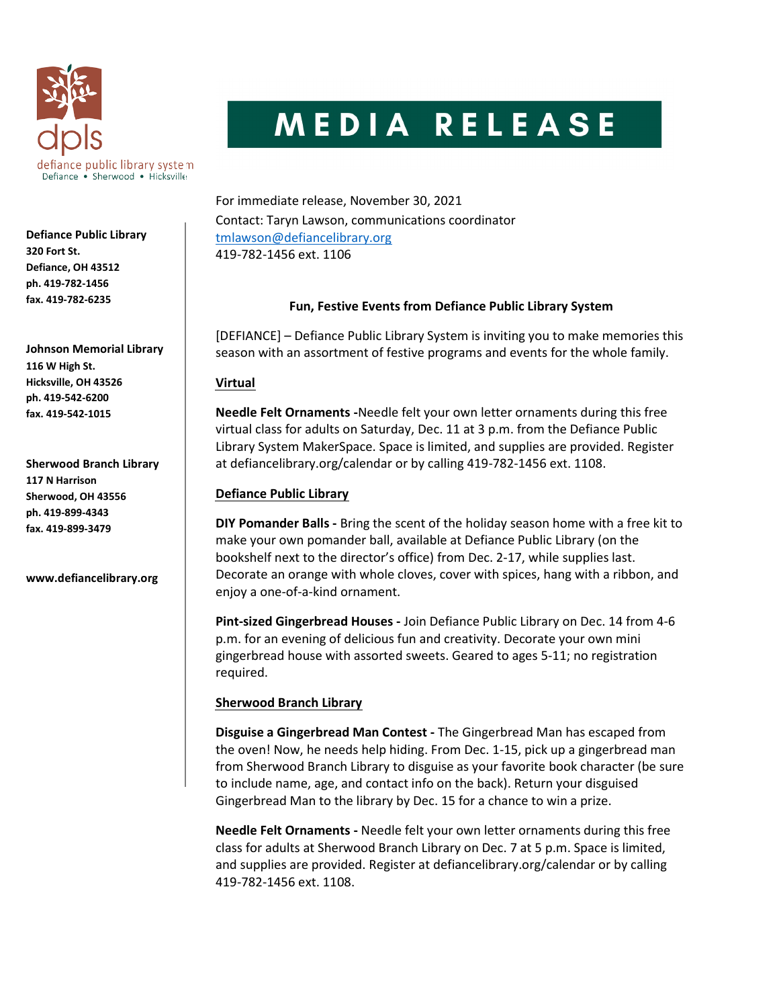

Defiance Public Library 320 Fort St. Defiance, OH 43512 ph. 419-782-1456 fax. 419-782-6235

Johnson Memorial Library 116 W High St. Hicksville, OH 43526 ph. 419-542-6200 fax. 419-542-1015

Sherwood Branch Library 117 N Harrison Sherwood, OH 43556 ph. 419-899-4343 fax. 419-899-3479

www.defiancelibrary.org

# MEDIA RELEASE

For immediate release, November 30, 2021 Contact: Taryn Lawson, communications coordinator tmlawson@defiancelibrary.org 419-782-1456 ext. 1106

## Fun, Festive Events from Defiance Public Library System

[DEFIANCE] – Defiance Public Library System is inviting you to make memories this season with an assortment of festive programs and events for the whole family.

## Virtual

Needle Felt Ornaments -Needle felt your own letter ornaments during this free virtual class for adults on Saturday, Dec. 11 at 3 p.m. from the Defiance Public Library System MakerSpace. Space is limited, and supplies are provided. Register at defiancelibrary.org/calendar or by calling 419-782-1456 ext. 1108.

## Defiance Public Library

DIY Pomander Balls - Bring the scent of the holiday season home with a free kit to make your own pomander ball, available at Defiance Public Library (on the bookshelf next to the director's office) from Dec. 2-17, while supplies last. Decorate an orange with whole cloves, cover with spices, hang with a ribbon, and enjoy a one-of-a-kind ornament.

Pint-sized Gingerbread Houses - Join Defiance Public Library on Dec. 14 from 4-6 p.m. for an evening of delicious fun and creativity. Decorate your own mini gingerbread house with assorted sweets. Geared to ages 5-11; no registration required.

## Sherwood Branch Library

Disguise a Gingerbread Man Contest - The Gingerbread Man has escaped from the oven! Now, he needs help hiding. From Dec. 1-15, pick up a gingerbread man from Sherwood Branch Library to disguise as your favorite book character (be sure to include name, age, and contact info on the back). Return your disguised Gingerbread Man to the library by Dec. 15 for a chance to win a prize.

Needle Felt Ornaments - Needle felt your own letter ornaments during this free class for adults at Sherwood Branch Library on Dec. 7 at 5 p.m. Space is limited, and supplies are provided. Register at defiancelibrary.org/calendar or by calling 419-782-1456 ext. 1108.